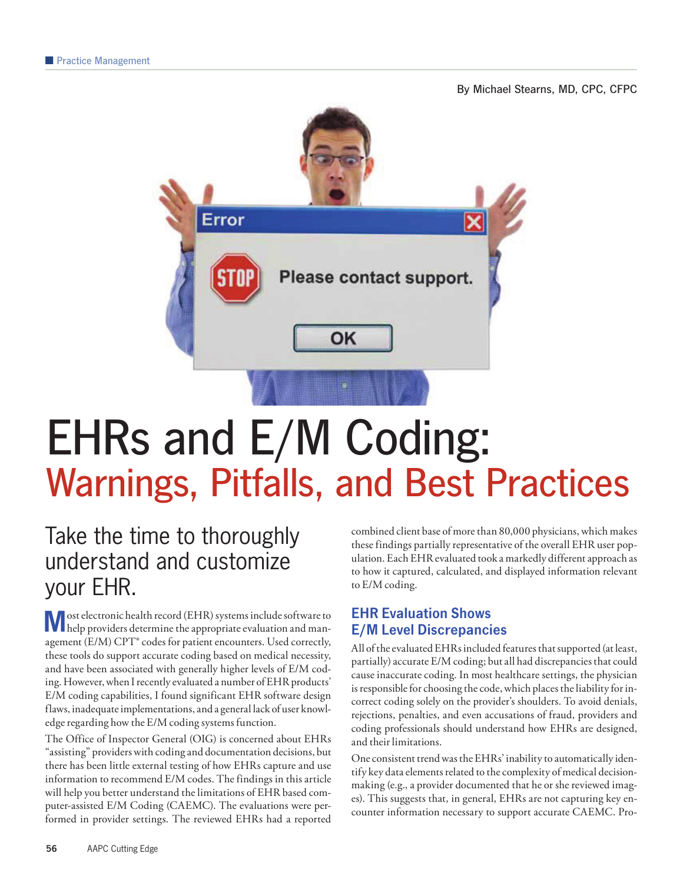By Michael Stearns, MD, CPC, CFPC



# EHRs and E/M Coding: Warnings, Pitfalls, and Best Practices

# Take the time to thoroughly understand and customize your EHR.

M ost electronic health record (EHR) systems include software to help providers determine the appropriate evaluation and management (E/M) CPT® codes for patient encounters. Used correctly, these tools do support accurate coding based on medical necessity, and have been associated with generally higher levels of E/M coding. However, when I recently evaluated a number of EHR products' E/M coding capabilities, I found significant EHR software design flaws, inadequate implementations, and a general lack of user knowledge regarding how the E/M coding systems function.

The Office of Inspector General (OIG) is concerned about EHRs "assisting" providers with coding and documentation decisions, but there has been little external testing of how EHRs capture and use information to recommend E/M codes. The findings in this article will help you better understand the limitations of EHR based computer-assisted E/M Coding (CAEMC). The evaluations were performed in provider settings. The reviewed EHRs had a reported combined client base of more than 80,000 physicians, which makes these findings partially representative of the overall EHR user population. Each EHR evaluated took a markedly different approach as to how it captured, calculated, and displayed information relevant to E/M coding.

## EHR Evaluation Shows E/M Level Discrepancies

All of the evaluated EHRs included features that supported (at least, partially) accurate E/M coding; but all had discrepancies that could cause inaccurate coding. In most healthcare settings, the physician is responsible for choosing the code, which places the liability for incorrect coding solely on the provider's shoulders. To avoid denials, rejections, penalties, and even accusations of fraud, providers and coding professionals should understand how EHRs are designed, and their limitations.

One consistent trend was the EHRs' inability to automatically identify key data elements related to the complexity of medical decisionmaking (e.g., a provider documented that he or she reviewed images). This suggests that, in general, EHRs are not capturing key encounter information necessary to support accurate CAEMC. Pro-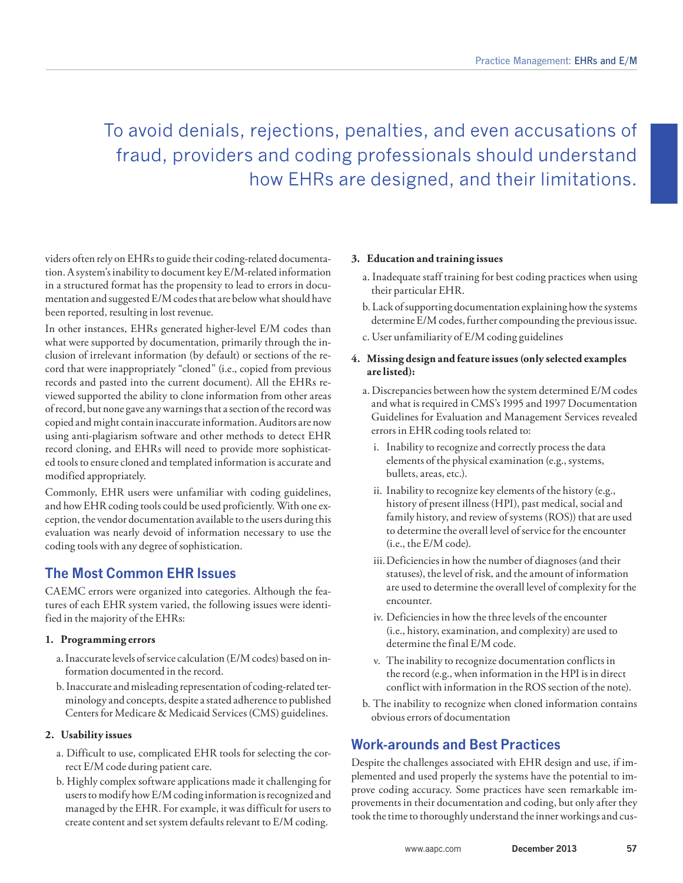# To avoid denials, rejections, penalties, and even accusations of fraud, providers and coding professionals should understand how EHRs are designed, and their limitations.

viders often rely on EHRs to guide their coding-related documentation. A system's inability to document key E/M-related information in a structured format has the propensity to lead to errors in documentation and suggested E/M codes that are below what should have been reported, resulting in lost revenue.

In other instances, EHRs generated higher-level E/M codes than what were supported by documentation, primarily through the inclusion of irrelevant information (by default) or sections of the record that were inappropriately "cloned" (i.e., copied from previous records and pasted into the current document). All the EHRs reviewed supported the ability to clone information from other areas of record, but none gave any warnings that a section of the record was copied and might contain inaccurate information. Auditors are now using anti-plagiarism software and other methods to detect EHR record cloning, and EHRs will need to provide more sophisticated tools to ensure cloned and templated information is accurate and modified appropriately.

Commonly, EHR users were unfamiliar with coding guidelines, and how EHR coding tools could be used proficiently. With one exception, the vendor documentation available to the users during this evaluation was nearly devoid of information necessary to use the coding tools with any degree of sophistication.

## The Most Common EHR Issues

CAEMC errors were organized into categories. Although the features of each EHR system varied, the following issues were identified in the majority of the EHRs:

#### **1. Programming errors**

- a. Inaccurate levels of service calculation (E/M codes) based on information documented in the record.
- b. Inaccurate and misleading representation of coding-related terminology and concepts, despite a stated adherence to published Centers for Medicare & Medicaid Services (CMS) guidelines.

#### **2. Usability issues**

- a. Difficult to use, complicated EHR tools for selecting the correct E/M code during patient care.
- b. Highly complex software applications made it challenging for users to modify how E/M coding information is recognized and managed by the EHR. For example, it was difficult for users to create content and set system defaults relevant to E/M coding.

#### **3. Education and training issues**

- a. Inadequate staff training for best coding practices when using their particular EHR.
- b. Lack of supporting documentation explaining how the systems determine E/M codes, further compounding the previous issue.
- c. User unfamiliarity of E/M coding guidelines

#### **4. Missing design and feature issues (only selected examples are listed):**

- a. Discrepancies between how the system determined E/M codes and what is required in CMS's 1995 and 1997 Documentation Guidelines for Evaluation and Management Services revealed errors in EHR coding tools related to:
	- i. Inability to recognize and correctly process the data elements of the physical examination (e.g., systems, bullets, areas, etc.).
	- ii. Inability to recognize key elements of the history (e.g., history of present illness (HPI), past medical, social and family history, and review of systems (ROS)) that are used to determine the overall level of service for the encounter (i.e., the E/M code).
	- iii. Deficiencies in how the number of diagnoses (and their statuses), the level of risk, and the amount of information are used to determine the overall level of complexity for the encounter.
	- iv. Deficiencies in how the three levels of the encounter (i.e., history, examination, and complexity) are used to determine the final E/M code.
	- v. The inability to recognize documentation conflicts in the record (e.g., when information in the HPI is in direct conflict with information in the ROS section of the note).
- b. The inability to recognize when cloned information contains obvious errors of documentation

## Work-arounds and Best Practices

Despite the challenges associated with EHR design and use, if implemented and used properly the systems have the potential to improve coding accuracy. Some practices have seen remarkable improvements in their documentation and coding, but only after they took the time to thoroughly understand the inner workings and cus-